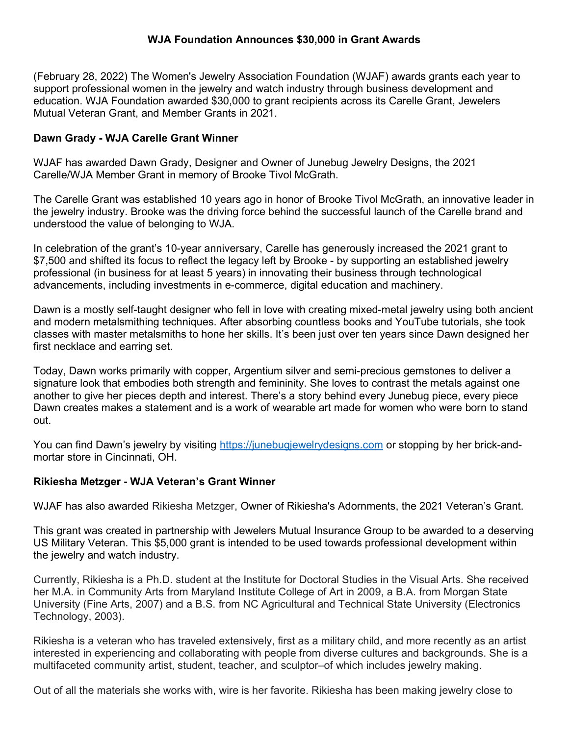# WJA Foundation Announces \$30,000 in Grant Awards

(February 28, 2022) The Women's Jewelry Association Foundation (WJAF) awards grants each year to support professional women in the jewelry and watch industry through business development and education. WJA Foundation awarded \$30,000 to grant recipients across its Carelle Grant, Jewelers Mutual Veteran Grant, and Member Grants in 2021.

### Dawn Grady - WJA Carelle Grant Winner

WJAF has awarded Dawn Grady, Designer and Owner of Junebug Jewelry Designs, the 2021 Carelle/WJA Member Grant in memory of Brooke Tivol McGrath.

The Carelle Grant was established 10 years ago in honor of Brooke Tivol McGrath, an innovative leader in the jewelry industry. Brooke was the driving force behind the successful launch of the Carelle brand and understood the value of belonging to WJA.

In celebration of the grant's 10-year anniversary, Carelle has generously increased the 2021 grant to \$7,500 and shifted its focus to reflect the legacy left by Brooke - by supporting an established jewelry professional (in business for at least 5 years) in innovating their business through technological advancements, including investments in e-commerce, digital education and machinery.

Dawn is a mostly self-taught designer who fell in love with creating mixed-metal jewelry using both ancient and modern metalsmithing techniques. After absorbing countless books and YouTube tutorials, she took classes with master metalsmiths to hone her skills. It's been just over ten years since Dawn designed her first necklace and earring set.

Today, Dawn works primarily with copper, Argentium silver and semi-precious gemstones to deliver a signature look that embodies both strength and femininity. She loves to contrast the metals against one another to give her pieces depth and interest. There's a story behind every Junebug piece, every piece Dawn creates makes a statement and is a work of wearable art made for women who were born to stand out.

You can find Dawn's jewelry by visiting https://junebugjewelrydesigns.com or stopping by her brick-andmortar store in Cincinnati, OH.

#### Rikiesha Metzger - WJA Veteran's Grant Winner

WJAF has also awarded Rikiesha Metzger, Owner of Rikiesha's Adornments, the 2021 Veteran's Grant.

This grant was created in partnership with Jewelers Mutual Insurance Group to be awarded to a deserving US Military Veteran. This \$5,000 grant is intended to be used towards professional development within the jewelry and watch industry.

Currently, Rikiesha is a Ph.D. student at the Institute for Doctoral Studies in the Visual Arts. She received her M.A. in Community Arts from Maryland Institute College of Art in 2009, a B.A. from Morgan State University (Fine Arts, 2007) and a B.S. from NC Agricultural and Technical State University (Electronics Technology, 2003).

Rikiesha is a veteran who has traveled extensively, first as a military child, and more recently as an artist interested in experiencing and collaborating with people from diverse cultures and backgrounds. She is a multifaceted community artist, student, teacher, and sculptor–of which includes jewelry making.

Out of all the materials she works with, wire is her favorite. Rikiesha has been making jewelry close to